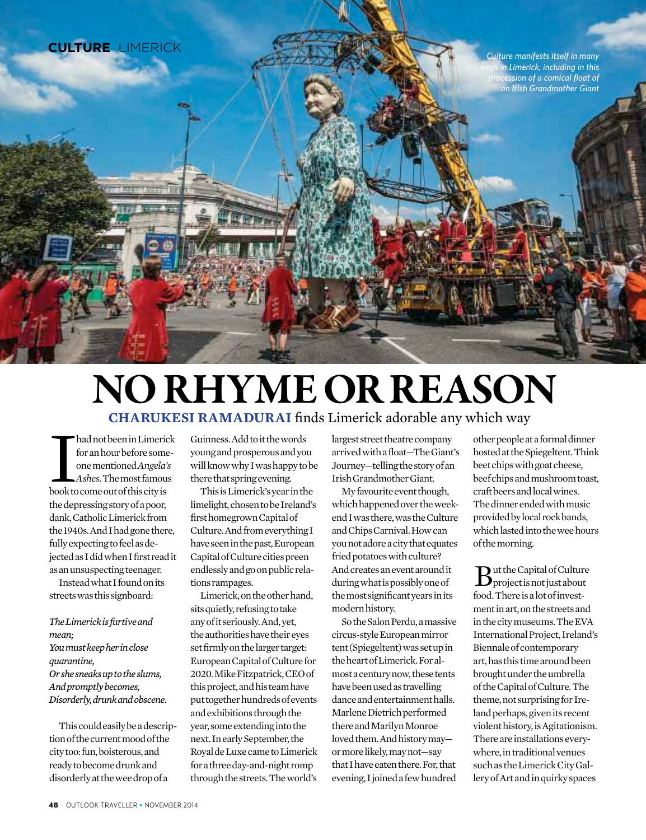

# No rhyme or reason

**Charukesi Ramadurai** finds Limerick adorable any which way

had not been in Limerick<br>for an hour before some-<br>one mentioned Angela's<br>Ashes. The most famous<br>book to come out of this city is for an hour before someone mentioned *Angela's Ashes*. The most famous the depressing story of a poor, dank, Catholic Limerick from the 1940s. And I had gone there, fully expecting to feel as dejected as I did when I first read it as an unsuspecting teenager.

Instead what I found on its streets was this signboard:

*The Limerick is furtive and mean; You must keep her in close quarantine, Or she sneaks up to the slums, And promptly becomes, Disorderly, drunk and obscene.*

This could easily be a description of the current mood of the city too: fun, boisterous, and ready to become drunk and disorderly at the wee drop of a

Guinness. Add to it the words young and prosperous and you will know why I was happy to be there that spring evening.

This is Limerick's year in the limelight, chosen to be Ireland's first homegrown Capital of Culture. And from everything I have seen in the past, European Capital of Culture cities preen endlessly and go on public relations rampages.

Limerick, on the other hand, sits quietly, refusing to take any of it seriously. And, yet, the authorities have their eyes set firmly on the larger target: European Capital of Culture for 2020. Mike Fitzpatrick, CEO of this project, and his team have put together hundreds of events and exhibitions through the year, some extending into the next. In early September, the Royal de Luxe came to Limerick for a three day-and-night romp through the streets. The world's

largest street theatre company arrived with a float—The Giant's Journey—telling the story of an Irish Grandmother Giant.

My favourite event though, which happened over the weekend I was there, was the Culture and Chips Carnival. How can you not adore a city that equates fried potatoes with culture? And creates an event around it during what is possibly one of the most significant years in its modern history.

So the Salon Perdu, a massive circus-style European mirror tent (Spiegeltent) was set up in the heart of Limerick. For almost a century now, these tents have been used as travelling dance and entertainment halls. Marlene Dietrich performed there and Marilyn Monroe loved them. And history may or more likely, may not—say that I have eaten there. For, that evening, I joined a few hundred

other people at a formal dinner hosted at the Spiegeltent. Think beet chips with goat cheese, beef chips and mushroom toast, craft beers and local wines. The dinner ended with music provided by local rock bands, which lasted into the wee hours of the morning.

 $B<sub>project</sub> is not just about$ food. There is a lot of investment in art, on the streets and in the city museums. The EVA International Project, Ireland's Biennale of contemporary art, has this time around been brought under the umbrella of the Capital of Culture. The theme, not surprising for Ireland perhaps, given its recent violent history, is Agitationism. There are installations everywhere, in traditional venues such as the Limerick City Gallery of Art and in quirky spaces